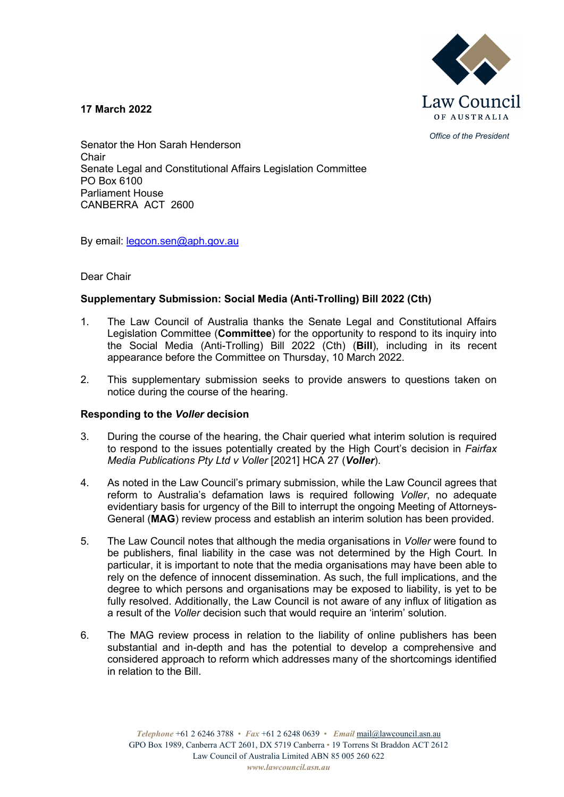

*Office of the President*

**17 March 2022**

Senator the Hon Sarah Henderson Chair Senate Legal and Constitutional Affairs Legislation Committee PO Box 6100 Parliament House CANBERRA ACT 2600

By email: [legcon.sen@aph.gov.au](mailto:legcon.sen@aph.gov.au)

# Dear Chair

# **Supplementary Submission: Social Media (Anti-Trolling) Bill 2022 (Cth)**

- 1. The Law Council of Australia thanks the Senate Legal and Constitutional Affairs Legislation Committee (**Committee**) for the opportunity to respond to its inquiry into the Social Media (Anti-Trolling) Bill 2022 (Cth) (**Bill**), including in its recent appearance before the Committee on Thursday, 10 March 2022.
- 2. This supplementary submission seeks to provide answers to questions taken on notice during the course of the hearing.

## **Responding to the** *Voller* **decision**

- 3. During the course of the hearing, the Chair queried what interim solution is required to respond to the issues potentially created by the High Court's decision in *Fairfax Media Publications Pty Ltd v Voller* [2021] HCA 27 (*Voller*).
- 4. As noted in the Law Council's primary submission, while the Law Council agrees that reform to Australia's defamation laws is required following *Voller*, no adequate evidentiary basis for urgency of the Bill to interrupt the ongoing Meeting of Attorneys-General (**MAG**) review process and establish an interim solution has been provided.
- 5. The Law Council notes that although the media organisations in *Voller* were found to be publishers, final liability in the case was not determined by the High Court. In particular, it is important to note that the media organisations may have been able to rely on the defence of innocent dissemination. As such, the full implications, and the degree to which persons and organisations may be exposed to liability, is yet to be fully resolved. Additionally, the Law Council is not aware of any influx of litigation as a result of the *Voller* decision such that would require an 'interim' solution.
- 6. The MAG review process in relation to the liability of online publishers has been substantial and in-depth and has the potential to develop a comprehensive and considered approach to reform which addresses many of the shortcomings identified in relation to the Bill.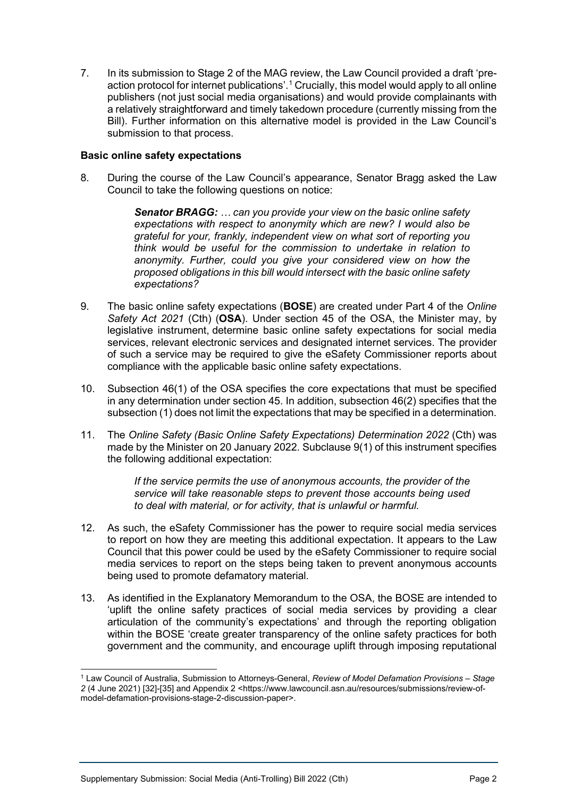7. In its submission to Stage 2 of the MAG review, the Law Council provided a draft 'preaction protocol for internet publications'. [1](#page-1-0) Crucially, this model would apply to all online publishers (not just social media organisations) and would provide complainants with a relatively straightforward and timely takedown procedure (currently missing from the Bill). Further information on this alternative model is provided in the Law Council's submission to that process.

### **Basic online safety expectations**

8. During the course of the Law Council's appearance, Senator Bragg asked the Law Council to take the following questions on notice:

> *Senator BRAGG: … can you provide your view on the basic online safety expectations with respect to anonymity which are new? I would also be grateful for your, frankly, independent view on what sort of reporting you think would be useful for the commission to undertake in relation to anonymity. Further, could you give your considered view on how the proposed obligations in this bill would intersect with the basic online safety expectations?*

- 9. The basic online safety expectations (**BOSE**) are created under Part 4 of the *Online Safety Act 2021* (Cth) (**OSA**). Under section 45 of the OSA, the Minister may, by legislative instrument, determine basic online safety expectations for social media services, relevant electronic services and designated internet services. The provider of such a service may be required to give the eSafety Commissioner reports about compliance with the applicable basic online safety expectations.
- 10. Subsection 46(1) of the OSA specifies the core expectations that must be specified in any determination under section 45. In addition, subsection 46(2) specifies that the subsection (1) does not limit the expectations that may be specified in a determination.
- 11. The *Online Safety (Basic Online Safety Expectations) Determination 2022* (Cth) was made by the Minister on 20 January 2022. Subclause 9(1) of this instrument specifies the following additional expectation:

*If the service permits the use of anonymous accounts, the provider of the service will take reasonable steps to prevent those accounts being used to deal with material, or for activity, that is unlawful or harmful.*

- 12. As such, the eSafety Commissioner has the power to require social media services to report on how they are meeting this additional expectation. It appears to the Law Council that this power could be used by the eSafety Commissioner to require social media services to report on the steps being taken to prevent anonymous accounts being used to promote defamatory material.
- 13. As identified in the Explanatory Memorandum to the OSA, the BOSE are intended to 'uplift the online safety practices of social media services by providing a clear articulation of the community's expectations' and through the reporting obligation within the BOSE 'create greater transparency of the online safety practices for both government and the community, and encourage uplift through imposing reputational

<span id="page-1-0"></span><sup>1</sup> Law Council of Australia, Submission to Attorneys-General, *Review of Model Defamation Provisions – Stage 2* (4 June 2021) [32]-[35] and Appendix 2 <https://www.lawcouncil.asn.au/resources/submissions/review-ofmodel-defamation-provisions-stage-2-discussion-paper>.